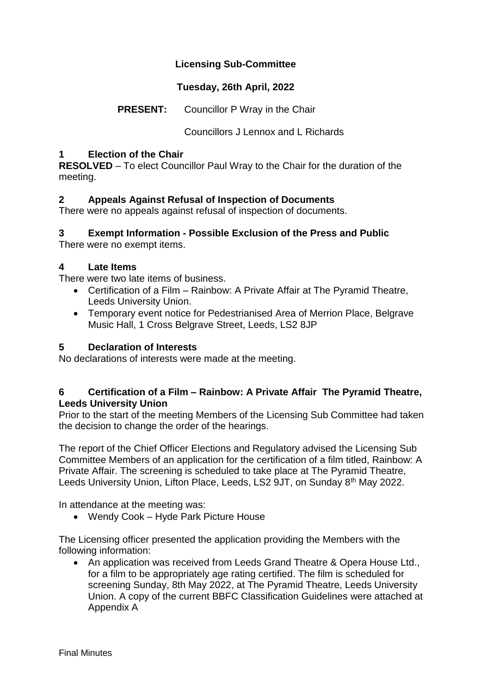## **Licensing Sub-Committee**

## **Tuesday, 26th April, 2022**

# **PRESENT:** Councillor P Wray in the Chair

Councillors J Lennox and L Richards

#### **1 Election of the Chair**

**RESOLVED** – To elect Councillor Paul Wray to the Chair for the duration of the meeting.

## **2 Appeals Against Refusal of Inspection of Documents**

There were no appeals against refusal of inspection of documents.

# **3 Exempt Information - Possible Exclusion of the Press and Public**

There were no exempt items.

#### **4 Late Items**

There were two late items of business.

- Certification of a Film Rainbow: A Private Affair at The Pyramid Theatre, Leeds University Union.
- Temporary event notice for Pedestrianised Area of Merrion Place, Belgrave Music Hall, 1 Cross Belgrave Street, Leeds, LS2 8JP

#### **5 Declaration of Interests**

No declarations of interests were made at the meeting.

#### **6 Certification of a Film – Rainbow: A Private Affair The Pyramid Theatre, Leeds University Union**

Prior to the start of the meeting Members of the Licensing Sub Committee had taken the decision to change the order of the hearings.

The report of the Chief Officer Elections and Regulatory advised the Licensing Sub Committee Members of an application for the certification of a film titled, Rainbow: A Private Affair. The screening is scheduled to take place at The Pyramid Theatre, Leeds University Union, Lifton Place, Leeds, LS2 9JT, on Sunday 8<sup>th</sup> May 2022.

In attendance at the meeting was:

Wendy Cook – Hyde Park Picture House

The Licensing officer presented the application providing the Members with the following information:

• An application was received from Leeds Grand Theatre & Opera House Ltd., for a film to be appropriately age rating certified. The film is scheduled for screening Sunday, 8th May 2022, at The Pyramid Theatre, Leeds University Union. A copy of the current BBFC Classification Guidelines were attached at Appendix A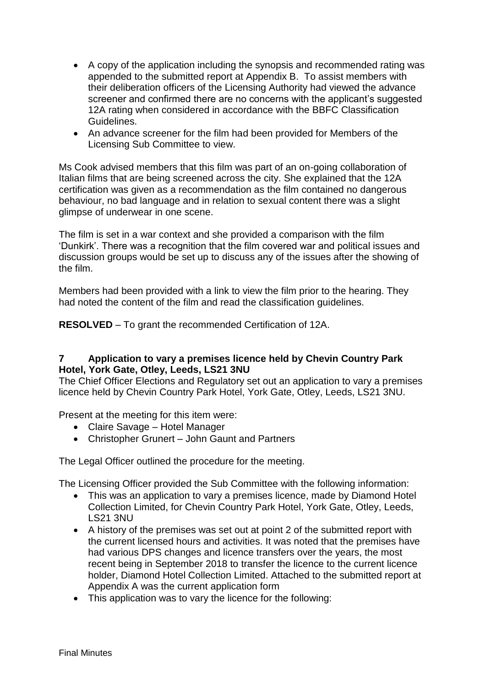- A copy of the application including the synopsis and recommended rating was appended to the submitted report at Appendix B. To assist members with their deliberation officers of the Licensing Authority had viewed the advance screener and confirmed there are no concerns with the applicant's suggested 12A rating when considered in accordance with the BBFC Classification Guidelines.
- An advance screener for the film had been provided for Members of the Licensing Sub Committee to view.

Ms Cook advised members that this film was part of an on-going collaboration of Italian films that are being screened across the city. She explained that the 12A certification was given as a recommendation as the film contained no dangerous behaviour, no bad language and in relation to sexual content there was a slight glimpse of underwear in one scene.

The film is set in a war context and she provided a comparison with the film 'Dunkirk'. There was a recognition that the film covered war and political issues and discussion groups would be set up to discuss any of the issues after the showing of the film.

Members had been provided with a link to view the film prior to the hearing. They had noted the content of the film and read the classification guidelines.

**RESOLVED** – To grant the recommended Certification of 12A.

#### **7 Application to vary a premises licence held by Chevin Country Park Hotel, York Gate, Otley, Leeds, LS21 3NU**

The Chief Officer Elections and Regulatory set out an application to vary a premises licence held by Chevin Country Park Hotel, York Gate, Otley, Leeds, LS21 3NU.

Present at the meeting for this item were:

- Claire Savage Hotel Manager
- Christopher Grunert John Gaunt and Partners

The Legal Officer outlined the procedure for the meeting.

The Licensing Officer provided the Sub Committee with the following information:

- This was an application to vary a premises licence, made by Diamond Hotel Collection Limited, for Chevin Country Park Hotel, York Gate, Otley, Leeds, LS21 3NU
- A history of the premises was set out at point 2 of the submitted report with the current licensed hours and activities. It was noted that the premises have had various DPS changes and licence transfers over the years, the most recent being in September 2018 to transfer the licence to the current licence holder, Diamond Hotel Collection Limited. Attached to the submitted report at Appendix A was the current application form
- This application was to vary the licence for the following: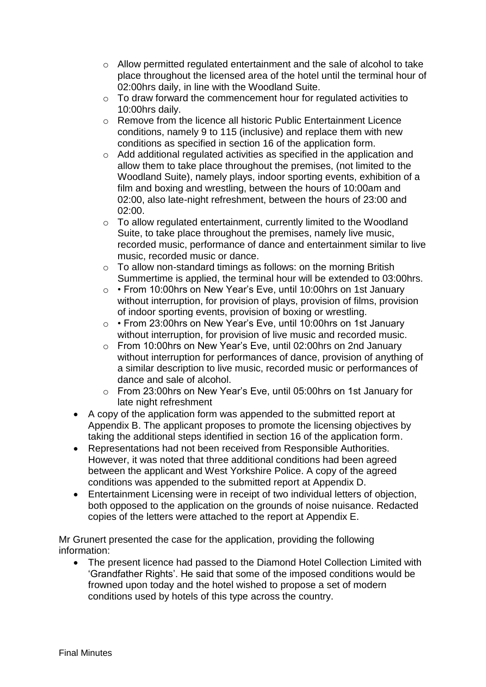- $\circ$  Allow permitted regulated entertainment and the sale of alcohol to take place throughout the licensed area of the hotel until the terminal hour of 02:00hrs daily, in line with the Woodland Suite.
- $\circ$  To draw forward the commencement hour for regulated activities to 10:00hrs daily.
- o Remove from the licence all historic Public Entertainment Licence conditions, namely 9 to 115 (inclusive) and replace them with new conditions as specified in section 16 of the application form.
- o Add additional regulated activities as specified in the application and allow them to take place throughout the premises, (not limited to the Woodland Suite), namely plays, indoor sporting events, exhibition of a film and boxing and wrestling, between the hours of 10:00am and 02:00, also late-night refreshment, between the hours of 23:00 and 02:00.
- o To allow regulated entertainment, currently limited to the Woodland Suite, to take place throughout the premises, namely live music, recorded music, performance of dance and entertainment similar to live music, recorded music or dance.
- $\circ$  To allow non-standard timings as follows: on the morning British Summertime is applied, the terminal hour will be extended to 03:00hrs.
- o From 10:00hrs on New Year's Eve, until 10:00hrs on 1st January without interruption, for provision of plays, provision of films, provision of indoor sporting events, provision of boxing or wrestling.
- o From 23:00hrs on New Year's Eve, until 10:00hrs on 1st January without interruption, for provision of live music and recorded music.
- o From 10:00hrs on New Year's Eve, until 02:00hrs on 2nd January without interruption for performances of dance, provision of anything of a similar description to live music, recorded music or performances of dance and sale of alcohol.
- o From 23:00hrs on New Year's Eve, until 05:00hrs on 1st January for late night refreshment
- A copy of the application form was appended to the submitted report at Appendix B. The applicant proposes to promote the licensing objectives by taking the additional steps identified in section 16 of the application form.
- Representations had not been received from Responsible Authorities. However, it was noted that three additional conditions had been agreed between the applicant and West Yorkshire Police. A copy of the agreed conditions was appended to the submitted report at Appendix D.
- Entertainment Licensing were in receipt of two individual letters of objection, both opposed to the application on the grounds of noise nuisance. Redacted copies of the letters were attached to the report at Appendix E.

Mr Grunert presented the case for the application, providing the following information:

• The present licence had passed to the Diamond Hotel Collection Limited with 'Grandfather Rights'. He said that some of the imposed conditions would be frowned upon today and the hotel wished to propose a set of modern conditions used by hotels of this type across the country.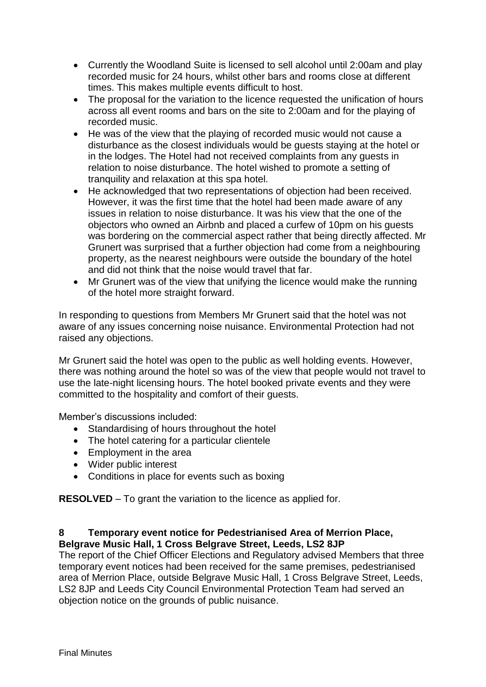- Currently the Woodland Suite is licensed to sell alcohol until 2:00am and play recorded music for 24 hours, whilst other bars and rooms close at different times. This makes multiple events difficult to host.
- The proposal for the variation to the licence requested the unification of hours across all event rooms and bars on the site to 2:00am and for the playing of recorded music.
- He was of the view that the playing of recorded music would not cause a disturbance as the closest individuals would be guests staying at the hotel or in the lodges. The Hotel had not received complaints from any guests in relation to noise disturbance. The hotel wished to promote a setting of tranquility and relaxation at this spa hotel.
- He acknowledged that two representations of objection had been received. However, it was the first time that the hotel had been made aware of any issues in relation to noise disturbance. It was his view that the one of the objectors who owned an Airbnb and placed a curfew of 10pm on his guests was bordering on the commercial aspect rather that being directly affected. Mr Grunert was surprised that a further objection had come from a neighbouring property, as the nearest neighbours were outside the boundary of the hotel and did not think that the noise would travel that far.
- Mr Grunert was of the view that unifying the licence would make the running of the hotel more straight forward.

In responding to questions from Members Mr Grunert said that the hotel was not aware of any issues concerning noise nuisance. Environmental Protection had not raised any objections.

Mr Grunert said the hotel was open to the public as well holding events. However, there was nothing around the hotel so was of the view that people would not travel to use the late-night licensing hours. The hotel booked private events and they were committed to the hospitality and comfort of their guests.

Member's discussions included:

- Standardising of hours throughout the hotel
- The hotel catering for a particular clientele
- Employment in the area
- Wider public interest
- Conditions in place for events such as boxing

**RESOLVED** – To grant the variation to the licence as applied for.

## **8 Temporary event notice for Pedestrianised Area of Merrion Place, Belgrave Music Hall, 1 Cross Belgrave Street, Leeds, LS2 8JP**

The report of the Chief Officer Elections and Regulatory advised Members that three temporary event notices had been received for the same premises, pedestrianised area of Merrion Place, outside Belgrave Music Hall, 1 Cross Belgrave Street, Leeds, LS2 8JP and Leeds City Council Environmental Protection Team had served an objection notice on the grounds of public nuisance.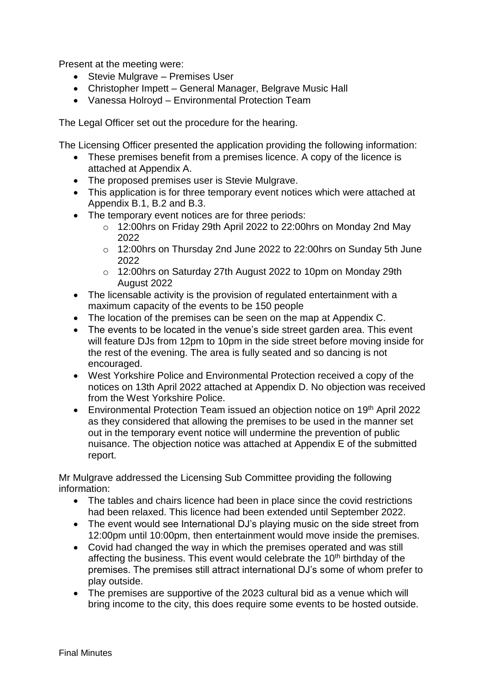Present at the meeting were:

- Stevie Mulgrave Premises User
- Christopher Impett General Manager, Belgrave Music Hall
- Vanessa Holroyd Environmental Protection Team

The Legal Officer set out the procedure for the hearing.

The Licensing Officer presented the application providing the following information:

- These premises benefit from a premises licence. A copy of the licence is attached at Appendix A.
- The proposed premises user is Stevie Mulgrave.
- This application is for three temporary event notices which were attached at Appendix B.1, B.2 and B.3.
- The temporary event notices are for three periods:
	- o 12:00hrs on Friday 29th April 2022 to 22:00hrs on Monday 2nd May 2022
	- o 12:00hrs on Thursday 2nd June 2022 to 22:00hrs on Sunday 5th June 2022
	- o 12:00hrs on Saturday 27th August 2022 to 10pm on Monday 29th August 2022
- The licensable activity is the provision of regulated entertainment with a maximum capacity of the events to be 150 people
- The location of the premises can be seen on the map at Appendix C.
- The events to be located in the venue's side street garden area. This event will feature DJs from 12pm to 10pm in the side street before moving inside for the rest of the evening. The area is fully seated and so dancing is not encouraged.
- West Yorkshire Police and Environmental Protection received a copy of the notices on 13th April 2022 attached at Appendix D. No objection was received from the West Yorkshire Police.
- Environmental Protection Team issued an objection notice on 19<sup>th</sup> April 2022 as they considered that allowing the premises to be used in the manner set out in the temporary event notice will undermine the prevention of public nuisance. The objection notice was attached at Appendix E of the submitted report.

Mr Mulgrave addressed the Licensing Sub Committee providing the following information:

- The tables and chairs licence had been in place since the covid restrictions had been relaxed. This licence had been extended until September 2022.
- The event would see International DJ's playing music on the side street from 12:00pm until 10:00pm, then entertainment would move inside the premises.
- Covid had changed the way in which the premises operated and was still affecting the business. This event would celebrate the 10<sup>th</sup> birthday of the premises. The premises still attract international DJ's some of whom prefer to play outside.
- The premises are supportive of the 2023 cultural bid as a venue which will bring income to the city, this does require some events to be hosted outside.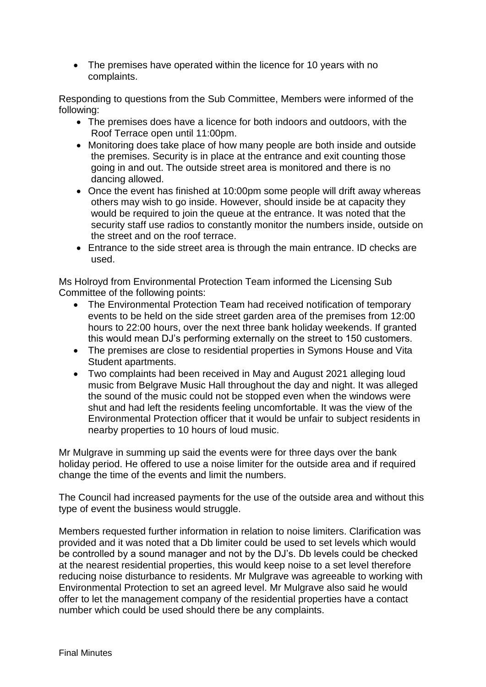• The premises have operated within the licence for 10 years with no complaints.

Responding to questions from the Sub Committee, Members were informed of the following:

- The premises does have a licence for both indoors and outdoors, with the Roof Terrace open until 11:00pm.
- Monitoring does take place of how many people are both inside and outside the premises. Security is in place at the entrance and exit counting those going in and out. The outside street area is monitored and there is no dancing allowed.
- Once the event has finished at 10:00pm some people will drift away whereas others may wish to go inside. However, should inside be at capacity they would be required to join the queue at the entrance. It was noted that the security staff use radios to constantly monitor the numbers inside, outside on the street and on the roof terrace.
- Entrance to the side street area is through the main entrance. ID checks are used.

Ms Holroyd from Environmental Protection Team informed the Licensing Sub Committee of the following points:

- The Environmental Protection Team had received notification of temporary events to be held on the side street garden area of the premises from 12:00 hours to 22:00 hours, over the next three bank holiday weekends. If granted this would mean DJ's performing externally on the street to 150 customers.
- The premises are close to residential properties in Symons House and Vita Student apartments.
- Two complaints had been received in May and August 2021 alleging loud music from Belgrave Music Hall throughout the day and night. It was alleged the sound of the music could not be stopped even when the windows were shut and had left the residents feeling uncomfortable. It was the view of the Environmental Protection officer that it would be unfair to subject residents in nearby properties to 10 hours of loud music.

Mr Mulgrave in summing up said the events were for three days over the bank holiday period. He offered to use a noise limiter for the outside area and if required change the time of the events and limit the numbers.

The Council had increased payments for the use of the outside area and without this type of event the business would struggle.

Members requested further information in relation to noise limiters. Clarification was provided and it was noted that a Db limiter could be used to set levels which would be controlled by a sound manager and not by the DJ's. Db levels could be checked at the nearest residential properties, this would keep noise to a set level therefore reducing noise disturbance to residents. Mr Mulgrave was agreeable to working with Environmental Protection to set an agreed level. Mr Mulgrave also said he would offer to let the management company of the residential properties have a contact number which could be used should there be any complaints.